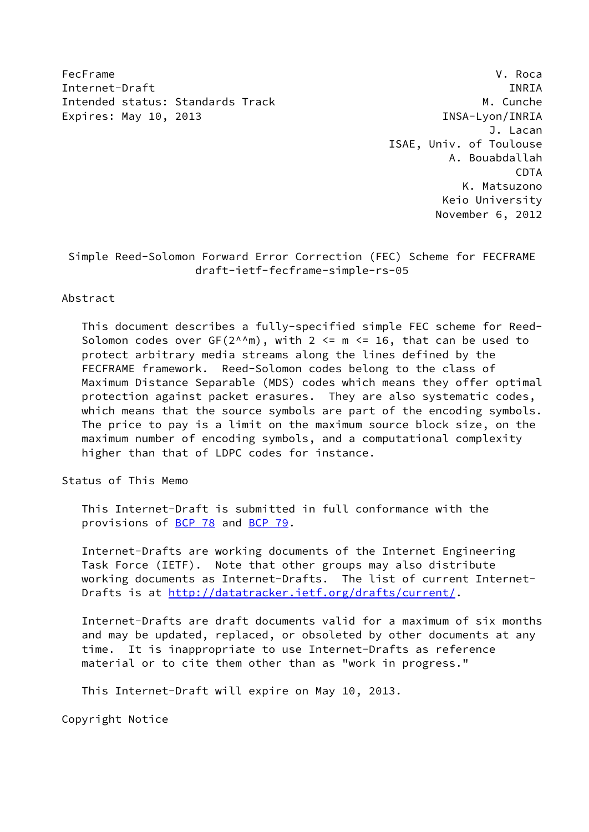FecFrame V. Roca Internet-Draft INRIA Intended status: Standards Track M. Cunche Expires: May 10, 2013 **INSA-Lyon/INRIA** 

 J. Lacan ISAE, Univ. of Toulouse A. Bouabdallah CDTA K. Matsuzono Keio University November 6, 2012

 Simple Reed-Solomon Forward Error Correction (FEC) Scheme for FECFRAME draft-ietf-fecframe-simple-rs-05

# Abstract

 This document describes a fully-specified simple FEC scheme for Reed- Solomon codes over  $GF(2^{\wedge n})$ , with  $2 \le m \le 16$ , that can be used to protect arbitrary media streams along the lines defined by the FECFRAME framework. Reed-Solomon codes belong to the class of Maximum Distance Separable (MDS) codes which means they offer optimal protection against packet erasures. They are also systematic codes, which means that the source symbols are part of the encoding symbols. The price to pay is a limit on the maximum source block size, on the maximum number of encoding symbols, and a computational complexity higher than that of LDPC codes for instance.

Status of This Memo

 This Internet-Draft is submitted in full conformance with the provisions of [BCP 78](https://datatracker.ietf.org/doc/pdf/bcp78) and [BCP 79](https://datatracker.ietf.org/doc/pdf/bcp79).

 Internet-Drafts are working documents of the Internet Engineering Task Force (IETF). Note that other groups may also distribute working documents as Internet-Drafts. The list of current Internet Drafts is at<http://datatracker.ietf.org/drafts/current/>.

 Internet-Drafts are draft documents valid for a maximum of six months and may be updated, replaced, or obsoleted by other documents at any time. It is inappropriate to use Internet-Drafts as reference material or to cite them other than as "work in progress."

This Internet-Draft will expire on May 10, 2013.

Copyright Notice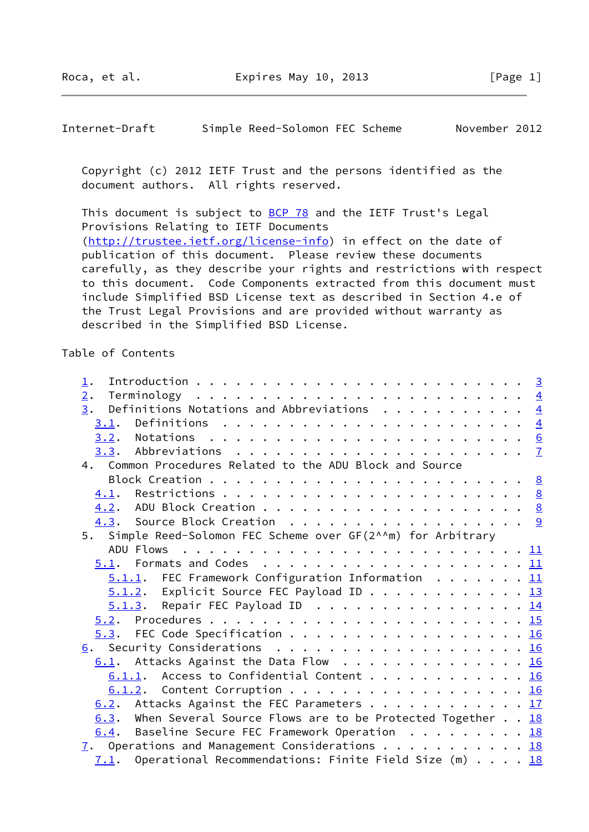Internet-Draft Simple Reed-Solomon FEC Scheme November 2012

 Copyright (c) 2012 IETF Trust and the persons identified as the document authors. All rights reserved.

This document is subject to **[BCP 78](https://datatracker.ietf.org/doc/pdf/bcp78)** and the IETF Trust's Legal Provisions Relating to IETF Documents [\(http://trustee.ietf.org/license-info](http://trustee.ietf.org/license-info)) in effect on the date of publication of this document. Please review these documents carefully, as they describe your rights and restrictions with respect to this document. Code Components extracted from this document must include Simplified BSD License text as described in Section 4.e of the Trust Legal Provisions and are provided without warranty as described in the Simplified BSD License.

Table of Contents

| 1.                                                              |  |  |
|-----------------------------------------------------------------|--|--|
| 2.                                                              |  |  |
| Definitions Notations and Abbreviations $\frac{4}{5}$<br>3.     |  |  |
|                                                                 |  |  |
|                                                                 |  |  |
|                                                                 |  |  |
| 4. Common Procedures Related to the ADU Block and Source        |  |  |
|                                                                 |  |  |
|                                                                 |  |  |
|                                                                 |  |  |
| 4.3. Source Block Creation 9                                    |  |  |
| 5. Simple Reed-Solomon FEC Scheme over GF(2^^m) for Arbitrary   |  |  |
|                                                                 |  |  |
|                                                                 |  |  |
| $5.1.1$ . FEC Framework Configuration Information 11            |  |  |
| $5.1.2$ . Explicit Source FEC Payload ID 13                     |  |  |
| $5.1.3$ . Repair FEC Payload ID 14                              |  |  |
|                                                                 |  |  |
| 5.3. FEC Code Specification 16                                  |  |  |
| 6. Security Considerations 16                                   |  |  |
| $6.1$ . Attacks Against the Data Flow 16                        |  |  |
| $6.1.1$ . Access to Confidential Content 16                     |  |  |
| 6.1.2. Content Corruption 16                                    |  |  |
| 6.2. Attacks Against the FEC Parameters 17                      |  |  |
| 6.3. When Several Source Flows are to be Protected Together 18  |  |  |
| Baseline Secure FEC Framework Operation $\cdots$ 18<br>6.4.     |  |  |
| $\overline{1}$ . Operations and Management Considerations 18    |  |  |
| Operational Recommendations: Finite Field Size $(m)$ 18<br>7.1. |  |  |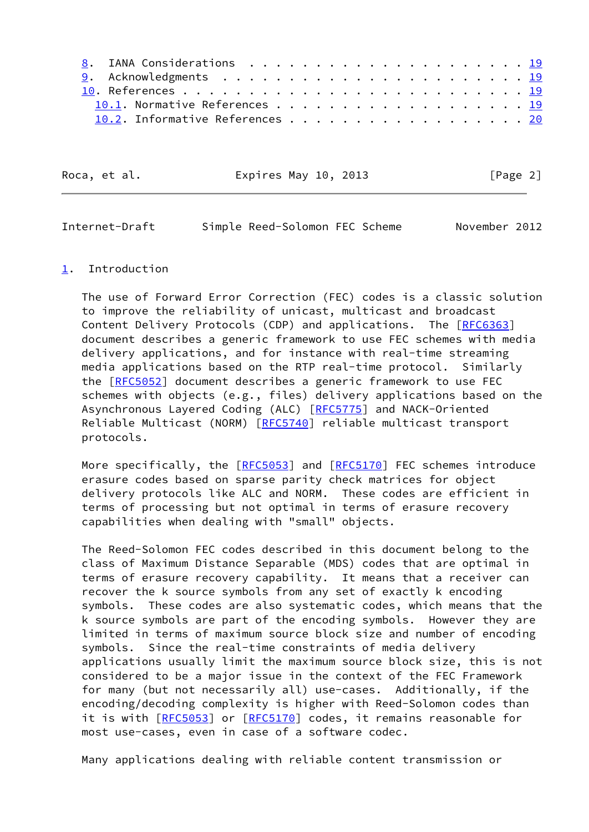| 10.2. Informative References 20 |
|---------------------------------|

| Roca, et al. | Expires May 10, 2013 | [Page 2] |
|--------------|----------------------|----------|
|              |                      |          |

<span id="page-2-1"></span>

| Simple Reed-Solomon FEC Scheme<br>Internet-Draft | November 2012 |
|--------------------------------------------------|---------------|
|--------------------------------------------------|---------------|

#### <span id="page-2-0"></span>[1](#page-2-0). Introduction

 The use of Forward Error Correction (FEC) codes is a classic solution to improve the reliability of unicast, multicast and broadcast Content Delivery Protocols (CDP) and applications. The [\[RFC6363](https://datatracker.ietf.org/doc/pdf/rfc6363)] document describes a generic framework to use FEC schemes with media delivery applications, and for instance with real-time streaming media applications based on the RTP real-time protocol. Similarly the [\[RFC5052](https://datatracker.ietf.org/doc/pdf/rfc5052)] document describes a generic framework to use FEC schemes with objects (e.g., files) delivery applications based on the Asynchronous Layered Coding (ALC) [[RFC5775](https://datatracker.ietf.org/doc/pdf/rfc5775)] and NACK-Oriented Reliable Multicast (NORM) [[RFC5740](https://datatracker.ietf.org/doc/pdf/rfc5740)] reliable multicast transport protocols.

More specifically, the [\[RFC5053](https://datatracker.ietf.org/doc/pdf/rfc5053)] and [\[RFC5170](https://datatracker.ietf.org/doc/pdf/rfc5170)] FEC schemes introduce erasure codes based on sparse parity check matrices for object delivery protocols like ALC and NORM. These codes are efficient in terms of processing but not optimal in terms of erasure recovery capabilities when dealing with "small" objects.

 The Reed-Solomon FEC codes described in this document belong to the class of Maximum Distance Separable (MDS) codes that are optimal in terms of erasure recovery capability. It means that a receiver can recover the k source symbols from any set of exactly k encoding symbols. These codes are also systematic codes, which means that the k source symbols are part of the encoding symbols. However they are limited in terms of maximum source block size and number of encoding symbols. Since the real-time constraints of media delivery applications usually limit the maximum source block size, this is not considered to be a major issue in the context of the FEC Framework for many (but not necessarily all) use-cases. Additionally, if the encoding/decoding complexity is higher with Reed-Solomon codes than it is with [[RFC5053\]](https://datatracker.ietf.org/doc/pdf/rfc5053) or [\[RFC5170](https://datatracker.ietf.org/doc/pdf/rfc5170)] codes, it remains reasonable for most use-cases, even in case of a software codec.

Many applications dealing with reliable content transmission or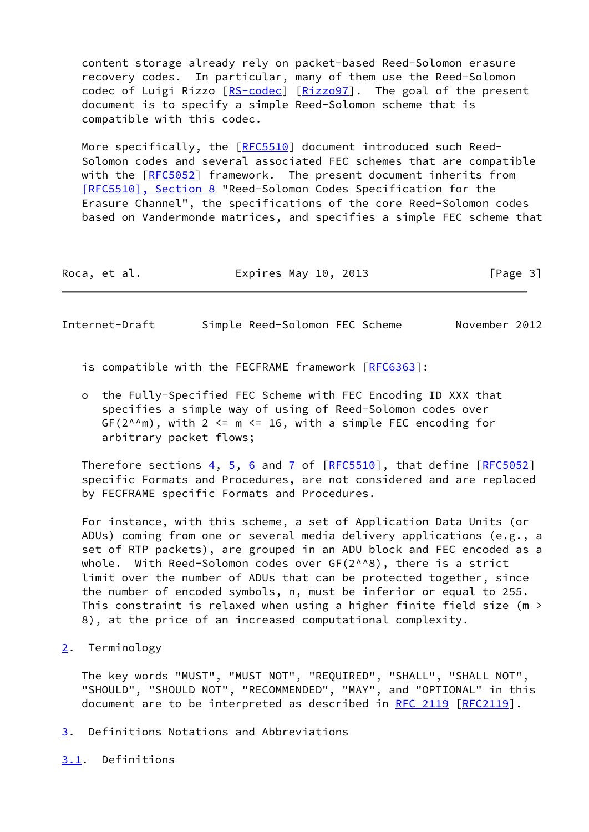content storage already rely on packet-based Reed-Solomon erasure recovery codes. In particular, many of them use the Reed-Solomon codec of Luigi Rizzo [\[RS-codec](#page-21-5)] [\[Rizzo97](#page-21-6)]. The goal of the present document is to specify a simple Reed-Solomon scheme that is compatible with this codec.

 More specifically, the [\[RFC5510](https://datatracker.ietf.org/doc/pdf/rfc5510)] document introduced such Reed- Solomon codes and several associated FEC schemes that are compatible with the [\[RFC5052](https://datatracker.ietf.org/doc/pdf/rfc5052)] framework. The present document inherits from [\[RFC5510\], Section](https://datatracker.ietf.org/doc/pdf/rfc5510#section-8) 8 "Reed-Solomon Codes Specification for the Erasure Channel", the specifications of the core Reed-Solomon codes based on Vandermonde matrices, and specifies a simple FEC scheme that

| Roca, et al. | Expires May 10, 2013 | [Page 3] |
|--------------|----------------------|----------|
|--------------|----------------------|----------|

<span id="page-3-1"></span>Internet-Draft Simple Reed-Solomon FEC Scheme November 2012

is compatible with the FECFRAME framework [[RFC6363](https://datatracker.ietf.org/doc/pdf/rfc6363)]:

 o the Fully-Specified FEC Scheme with FEC Encoding ID XXX that specifies a simple way of using of Reed-Solomon codes over  $GF(2^n)^m$ , with 2 <= m <= 16, with a simple FEC encoding for arbitrary packet flows;

Therefore sections  $\frac{4}{5}$ ,  $\frac{6}{9}$  and  $\frac{7}{1}$  of  $[\text{RFC5510}]$ , that define  $[\text{RFC5052}]$  specific Formats and Procedures, are not considered and are replaced by FECFRAME specific Formats and Procedures.

 For instance, with this scheme, a set of Application Data Units (or ADUs) coming from one or several media delivery applications (e.g., a set of RTP packets), are grouped in an ADU block and FEC encoded as a whole. With Reed-Solomon codes over GF(2^^8), there is a strict limit over the number of ADUs that can be protected together, since the number of encoded symbols, n, must be inferior or equal to 255. This constraint is relaxed when using a higher finite field size (m > 8), at the price of an increased computational complexity.

<span id="page-3-0"></span>[2](#page-3-0). Terminology

 The key words "MUST", "MUST NOT", "REQUIRED", "SHALL", "SHALL NOT", "SHOULD", "SHOULD NOT", "RECOMMENDED", "MAY", and "OPTIONAL" in this document are to be interpreted as described in [RFC 2119 \[RFC2119](https://datatracker.ietf.org/doc/pdf/rfc2119)].

- <span id="page-3-2"></span>[3](#page-3-2). Definitions Notations and Abbreviations
- <span id="page-3-3"></span>[3.1](#page-3-3). Definitions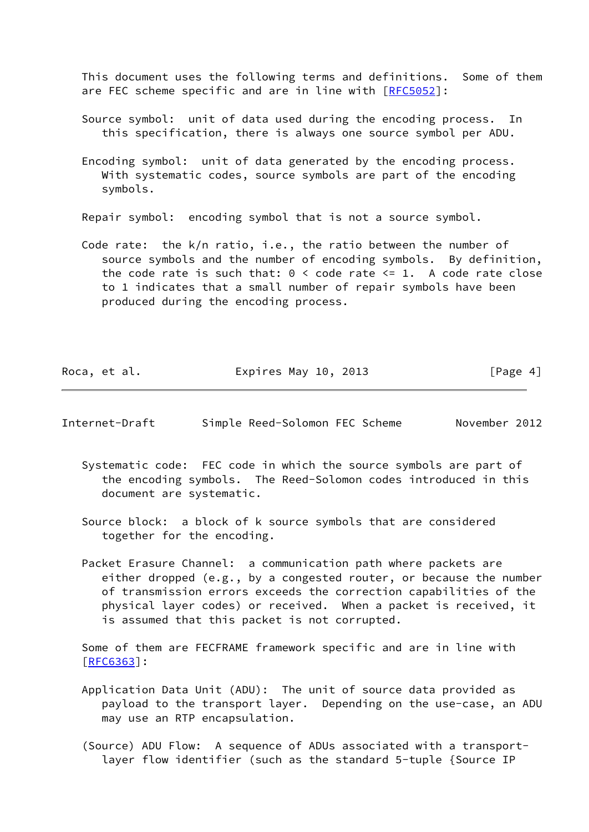This document uses the following terms and definitions. Some of them are FEC scheme specific and are in line with [\[RFC5052](https://datatracker.ietf.org/doc/pdf/rfc5052)]:

- Source symbol: unit of data used during the encoding process. In this specification, there is always one source symbol per ADU.
- Encoding symbol: unit of data generated by the encoding process. With systematic codes, source symbols are part of the encoding symbols.

Repair symbol: encoding symbol that is not a source symbol.

 Code rate: the k/n ratio, i.e., the ratio between the number of source symbols and the number of encoding symbols. By definition, the code rate is such that:  $0 <$  code rate  $\leq 1$ . A code rate close to 1 indicates that a small number of repair symbols have been produced during the encoding process.

| Roca, et al. | Expires May 10, 2013 | [Page 4] |
|--------------|----------------------|----------|
|--------------|----------------------|----------|

- Internet-Draft Simple Reed-Solomon FEC Scheme November 2012
	- Systematic code: FEC code in which the source symbols are part of the encoding symbols. The Reed-Solomon codes introduced in this document are systematic.
	- Source block: a block of k source symbols that are considered together for the encoding.
	- Packet Erasure Channel: a communication path where packets are either dropped (e.g., by a congested router, or because the number of transmission errors exceeds the correction capabilities of the physical layer codes) or received. When a packet is received, it is assumed that this packet is not corrupted.

 Some of them are FECFRAME framework specific and are in line with [\[RFC6363](https://datatracker.ietf.org/doc/pdf/rfc6363)]:

- Application Data Unit (ADU): The unit of source data provided as payload to the transport layer. Depending on the use-case, an ADU may use an RTP encapsulation.
- (Source) ADU Flow: A sequence of ADUs associated with a transport layer flow identifier (such as the standard 5-tuple {Source IP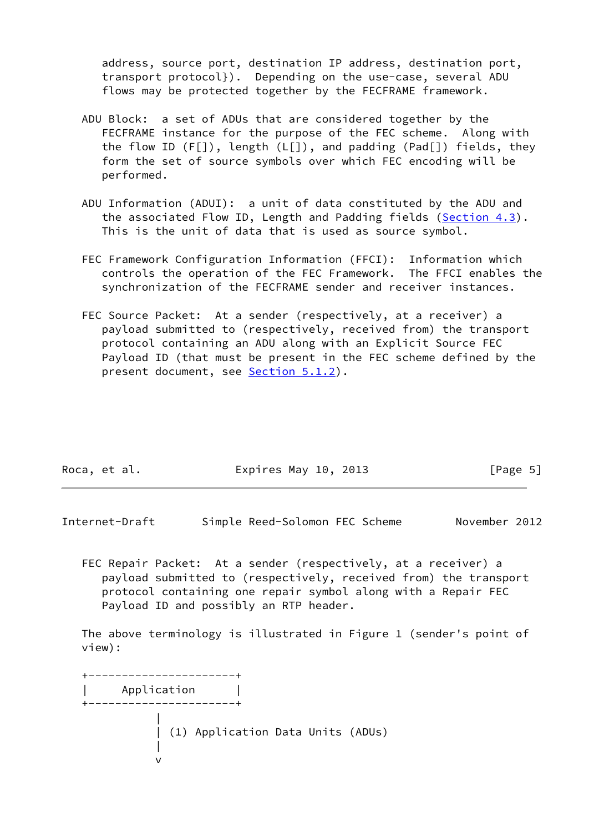address, source port, destination IP address, destination port, transport protocol}). Depending on the use-case, several ADU flows may be protected together by the FECFRAME framework.

- ADU Block: a set of ADUs that are considered together by the FECFRAME instance for the purpose of the FEC scheme. Along with the flow ID (F[]), length (L[]), and padding (Pad[]) fields, they form the set of source symbols over which FEC encoding will be performed.
- ADU Information (ADUI): a unit of data constituted by the ADU and the associated Flow ID, Length and Padding fields [\(Section 4.3](#page-9-0)). This is the unit of data that is used as source symbol.
- FEC Framework Configuration Information (FFCI): Information which controls the operation of the FEC Framework. The FFCI enables the synchronization of the FECFRAME sender and receiver instances.
- FEC Source Packet: At a sender (respectively, at a receiver) a payload submitted to (respectively, received from) the transport protocol containing an ADU along with an Explicit Source FEC Payload ID (that must be present in the FEC scheme defined by the present document, see **Section 5.1.2**).

| Roca, et al. | Expires May 10, 2013 | [Page 5] |
|--------------|----------------------|----------|
|              |                      |          |

<span id="page-5-0"></span>Internet-Draft Simple Reed-Solomon FEC Scheme November 2012

 FEC Repair Packet: At a sender (respectively, at a receiver) a payload submitted to (respectively, received from) the transport protocol containing one repair symbol along with a Repair FEC Payload ID and possibly an RTP header.

 The above terminology is illustrated in Figure 1 (sender's point of view):

 +----------------------+ | Application | +----------------------+ | | (1) Application Data Units (ADUs) | version of the state of the state of the state of the state of the state of the state of the state of the state of the state of the state of the state of the state of the state of the state of the state of the state of the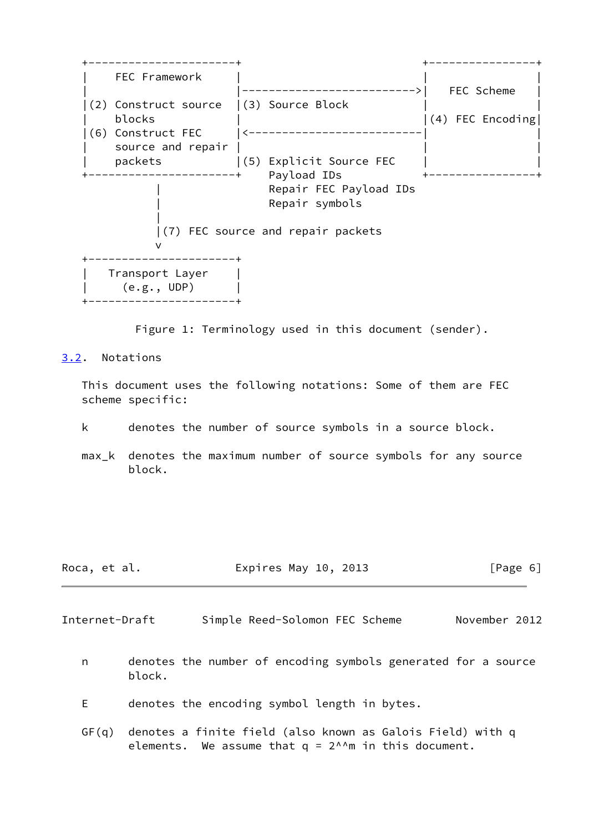

Figure 1: Terminology used in this document (sender).

<span id="page-6-0"></span>[3.2](#page-6-0). Notations

 This document uses the following notations: Some of them are FEC scheme specific:

k denotes the number of source symbols in a source block.

 max\_k denotes the maximum number of source symbols for any source block.

Roca, et al. **Expires May 10, 2013** [Page 6]

<span id="page-6-1"></span>Internet-Draft Simple Reed-Solomon FEC Scheme November 2012

- n denotes the number of encoding symbols generated for a source block.
- E denotes the encoding symbol length in bytes.
- GF(q) denotes a finite field (also known as Galois Field) with q elements. We assume that  $q = 2^{\wedge n}$  in this document.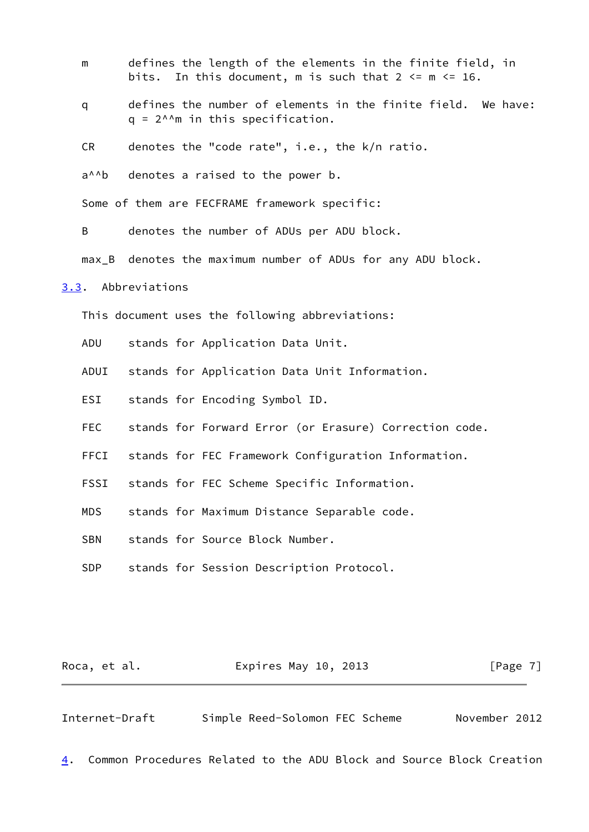- m defines the length of the elements in the finite field, in bits. In this document, m is such that  $2 \le m \le 16$ .
- q defines the number of elements in the finite field. We have:  $q = 2^{\text{A}}m$  in this specification.

CR denotes the "code rate", i.e., the k/n ratio.

a<sup> $A$ </sup>b denotes a raised to the power b.

Some of them are FECFRAME framework specific:

B denotes the number of ADUs per ADU block.

max\_B denotes the maximum number of ADUs for any ADU block.

<span id="page-7-0"></span>[3.3](#page-7-0). Abbreviations

This document uses the following abbreviations:

- ADU stands for Application Data Unit.
- ADUI stands for Application Data Unit Information.
- ESI stands for Encoding Symbol ID.
- FEC stands for Forward Error (or Erasure) Correction code.
- FFCI stands for FEC Framework Configuration Information.
- FSSI stands for FEC Scheme Specific Information.

MDS stands for Maximum Distance Separable code.

SBN stands for Source Block Number.

SDP stands for Session Description Protocol.

| Roca, et al. | Expires May 10, 2013 | [Page 7] |
|--------------|----------------------|----------|
|--------------|----------------------|----------|

<span id="page-7-1"></span>Internet-Draft Simple Reed-Solomon FEC Scheme November 2012

<span id="page-7-2"></span>[4](#page-7-2). Common Procedures Related to the ADU Block and Source Block Creation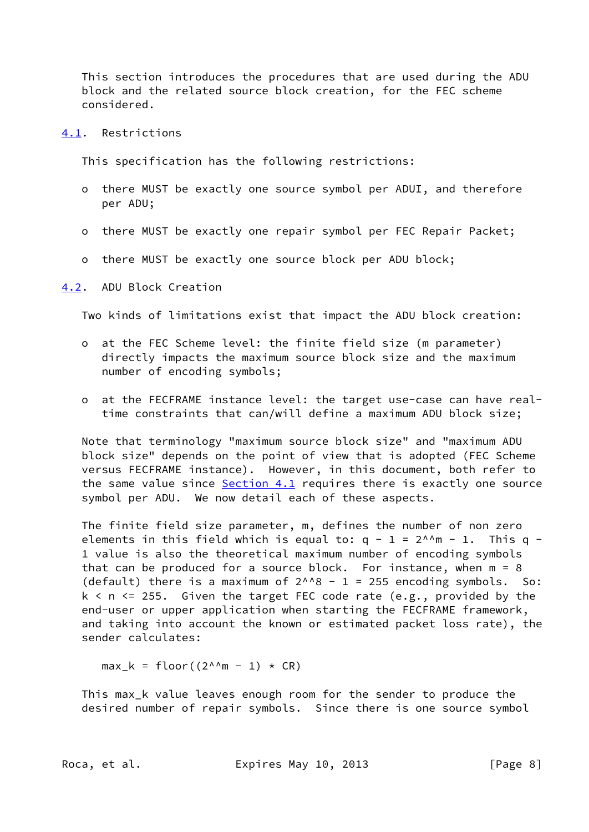This section introduces the procedures that are used during the ADU block and the related source block creation, for the FEC scheme considered.

# <span id="page-8-0"></span>[4.1](#page-8-0). Restrictions

This specification has the following restrictions:

- o there MUST be exactly one source symbol per ADUI, and therefore per ADU;
- o there MUST be exactly one repair symbol per FEC Repair Packet;
- o there MUST be exactly one source block per ADU block;

#### <span id="page-8-1"></span>[4.2](#page-8-1). ADU Block Creation

Two kinds of limitations exist that impact the ADU block creation:

- o at the FEC Scheme level: the finite field size (m parameter) directly impacts the maximum source block size and the maximum number of encoding symbols;
- o at the FECFRAME instance level: the target use-case can have real time constraints that can/will define a maximum ADU block size;

 Note that terminology "maximum source block size" and "maximum ADU block size" depends on the point of view that is adopted (FEC Scheme versus FECFRAME instance). However, in this document, both refer to the same value since [Section 4.1](#page-8-0) requires there is exactly one source symbol per ADU. We now detail each of these aspects.

 The finite field size parameter, m, defines the number of non zero elements in this field which is equal to:  $q - 1 = 2^{\text{A/m}} - 1$ . This  $q -$  1 value is also the theoretical maximum number of encoding symbols that can be produced for a source block. For instance, when m = 8 (default) there is a maximum of  $2^{1/8} - 1 = 255$  encoding symbols. So:  $k$  < n <= 255. Given the target FEC code rate (e.g., provided by the end-user or upper application when starting the FECFRAME framework, and taking into account the known or estimated packet loss rate), the sender calculates:

 $max_k =$  floor((2^^m - 1) \* CR)

 This max\_k value leaves enough room for the sender to produce the desired number of repair symbols. Since there is one source symbol

Roca, et al. **Expires May 10, 2013** [Page 8]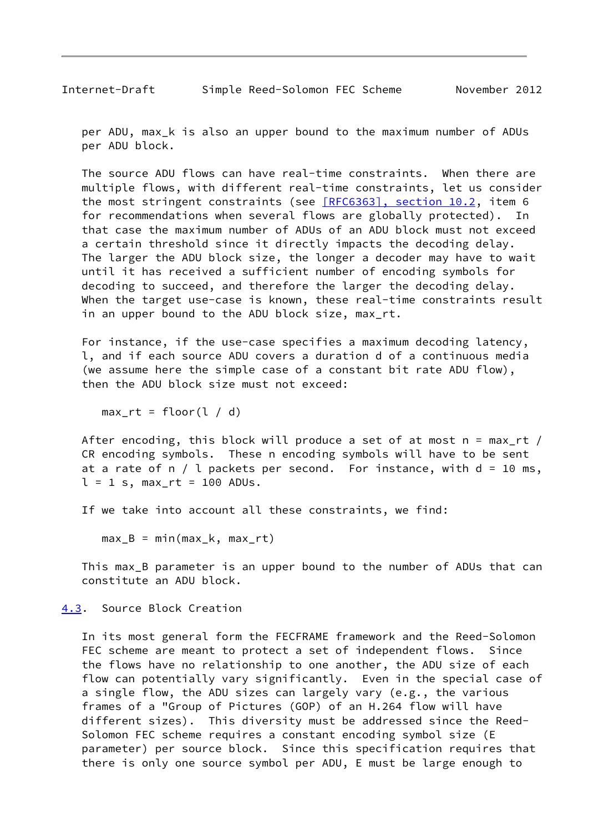<span id="page-9-1"></span> per ADU, max\_k is also an upper bound to the maximum number of ADUs per ADU block.

 The source ADU flows can have real-time constraints. When there are multiple flows, with different real-time constraints, let us consider the most stringent constraints (see [\[RFC6363\], section](https://datatracker.ietf.org/doc/pdf/rfc6363#section-10.2) 10.2, item 6 for recommendations when several flows are globally protected). In that case the maximum number of ADUs of an ADU block must not exceed a certain threshold since it directly impacts the decoding delay. The larger the ADU block size, the longer a decoder may have to wait until it has received a sufficient number of encoding symbols for decoding to succeed, and therefore the larger the decoding delay. When the target use-case is known, these real-time constraints result in an upper bound to the ADU block size, max\_rt.

 For instance, if the use-case specifies a maximum decoding latency, l, and if each source ADU covers a duration d of a continuous media (we assume here the simple case of a constant bit rate ADU flow), then the ADU block size must not exceed:

max  $rt = floor(1 / d)$ 

 After encoding, this block will produce a set of at most n = max\_rt / CR encoding symbols. These n encoding symbols will have to be sent at a rate of  $n / l$  packets per second. For instance, with  $d = 10$  ms,  $l = 1$  s, max\_rt = 100 ADUs.

If we take into account all these constraints, we find:

 $max_B = min(max_k, max_rt)$ 

 This max\_B parameter is an upper bound to the number of ADUs that can constitute an ADU block.

<span id="page-9-0"></span>[4.3](#page-9-0). Source Block Creation

 In its most general form the FECFRAME framework and the Reed-Solomon FEC scheme are meant to protect a set of independent flows. Since the flows have no relationship to one another, the ADU size of each flow can potentially vary significantly. Even in the special case of a single flow, the ADU sizes can largely vary (e.g., the various frames of a "Group of Pictures (GOP) of an H.264 flow will have different sizes). This diversity must be addressed since the Reed- Solomon FEC scheme requires a constant encoding symbol size (E parameter) per source block. Since this specification requires that there is only one source symbol per ADU, E must be large enough to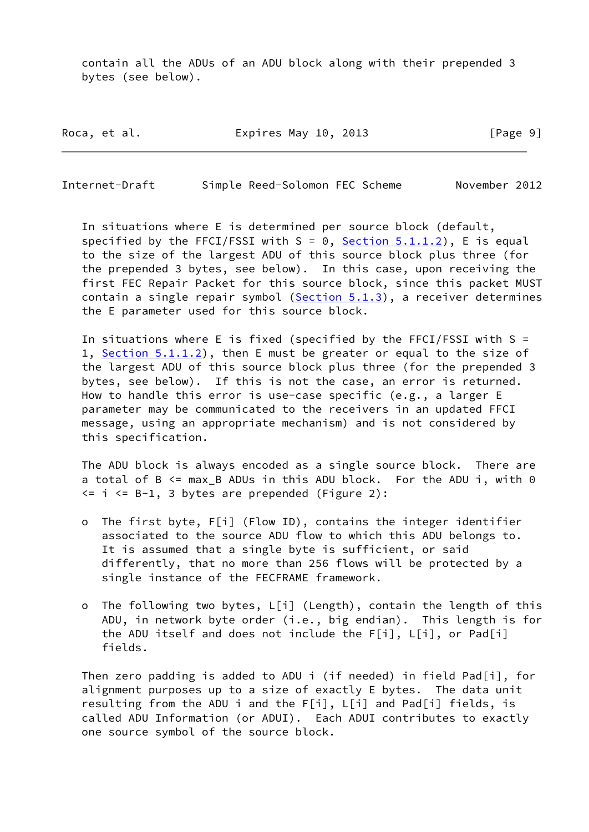contain all the ADUs of an ADU block along with their prepended 3 bytes (see below).

Roca, et al. **Expires May 10, 2013** [Page 9]

Internet-Draft Simple Reed-Solomon FEC Scheme November 2012

 In situations where E is determined per source block (default, specified by the FFCI/FSSI with  $S = 0$ , [Section 5.1.1.2](#page-12-3)), E is equal to the size of the largest ADU of this source block plus three (for the prepended 3 bytes, see below). In this case, upon receiving the first FEC Repair Packet for this source block, since this packet MUST contain a single repair symbol  $(Section 5.1.3)$  $(Section 5.1.3)$ , a receiver determines the E parameter used for this source block.

In situations where E is fixed (specified by the FFCI/FSSI with  $S =$ 1, [Section 5.1.1.2](#page-12-3)), then E must be greater or equal to the size of the largest ADU of this source block plus three (for the prepended 3 bytes, see below). If this is not the case, an error is returned. How to handle this error is use-case specific (e.g., a larger E parameter may be communicated to the receivers in an updated FFCI message, using an appropriate mechanism) and is not considered by this specification.

 The ADU block is always encoded as a single source block. There are a total of B <= max\_B ADUs in this ADU block. For the ADU i, with 0  $\leq$  i  $\leq$  B-1, 3 bytes are prepended (Figure 2):

- o The first byte, F[i] (Flow ID), contains the integer identifier associated to the source ADU flow to which this ADU belongs to. It is assumed that a single byte is sufficient, or said differently, that no more than 256 flows will be protected by a single instance of the FECFRAME framework.
- o The following two bytes, L[i] (Length), contain the length of this ADU, in network byte order (i.e., big endian). This length is for the ADU itself and does not include the F[i], L[i], or Pad[i] fields.

 Then zero padding is added to ADU i (if needed) in field Pad[i], for alignment purposes up to a size of exactly E bytes. The data unit resulting from the ADU i and the F[i], L[i] and Pad[i] fields, is called ADU Information (or ADUI). Each ADUI contributes to exactly one source symbol of the source block.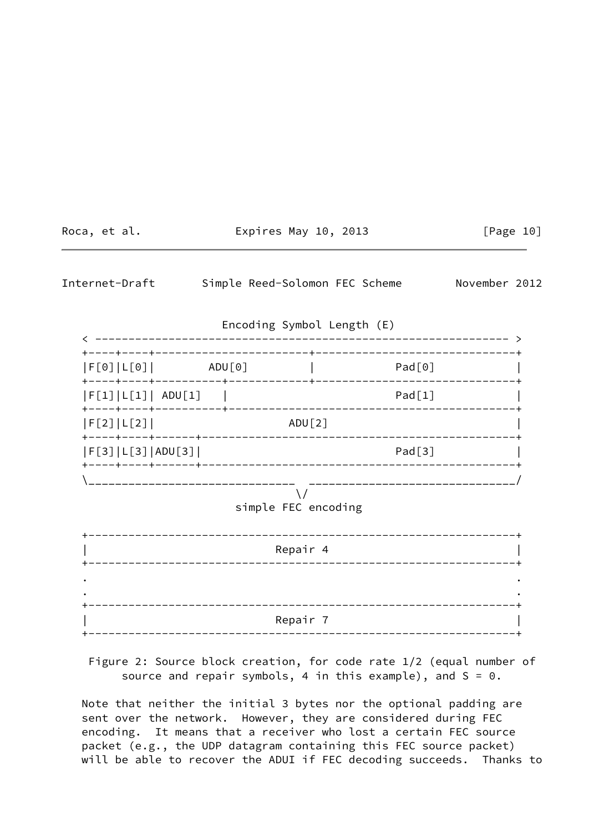<span id="page-11-0"></span>

| Roca, et al. |                |                        |                                                      | Expires May 10, 2013               |                                    |               | [Page 10] |
|--------------|----------------|------------------------|------------------------------------------------------|------------------------------------|------------------------------------|---------------|-----------|
|              | Internet-Draft |                        |                                                      |                                    | Simple Reed-Solomon FEC Scheme     | November 2012 |           |
|              |                |                        |                                                      |                                    | Encoding Symbol Length (E)         |               |           |
|              |                | $ F[0] L[0] $ $ADU[0]$ |                                                      |                                    | Pad[0]                             |               |           |
|              |                |                        | $\begin{bmatrix} F[1]   L[1]   ADU[1] \end{bmatrix}$ |                                    |                                    | Pad[1]        |           |
|              | F[2] L[2]      |                        |                                                      | ADU[2]                             |                                    |               |           |
|              |                | F[3] L[3] ADU[3]       |                                                      |                                    | Pad[3]                             |               |           |
|              |                |                        |                                                      | $\setminus$<br>simple FEC encoding | __________________________________ |               |           |
|              |                |                        |                                                      | Repair 4                           |                                    |               |           |
|              |                |                        |                                                      | Repair 7                           |                                    |               |           |
|              |                |                        | _______________                                      |                                    | --------------------------         |               |           |

 Figure 2: Source block creation, for code rate 1/2 (equal number of source and repair symbols, 4 in this example), and  $S = 0$ .

 Note that neither the initial 3 bytes nor the optional padding are sent over the network. However, they are considered during FEC encoding. It means that a receiver who lost a certain FEC source packet (e.g., the UDP datagram containing this FEC source packet) will be able to recover the ADUI if FEC decoding succeeds. Thanks to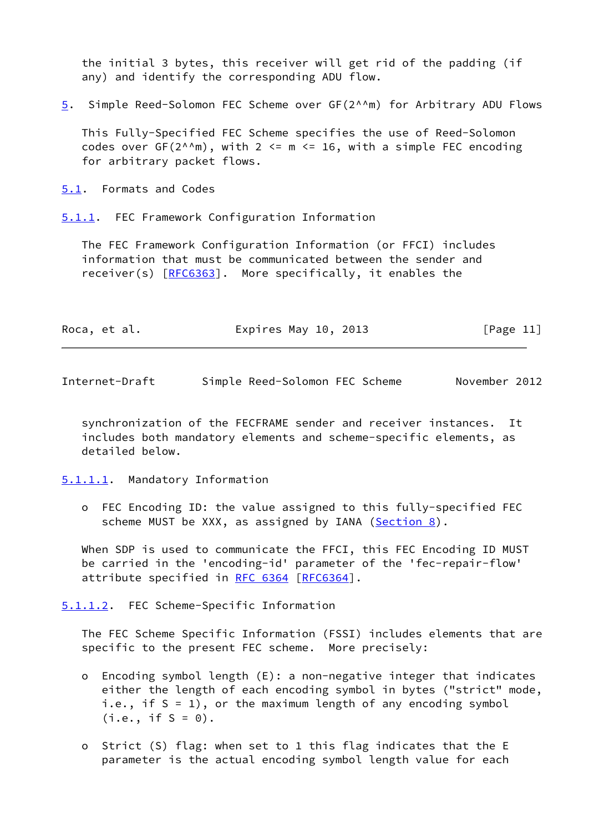the initial 3 bytes, this receiver will get rid of the padding (if any) and identify the corresponding ADU flow.

<span id="page-12-2"></span>[5](#page-12-2). Simple Reed-Solomon FEC Scheme over GF(2^^m) for Arbitrary ADU Flows

 This Fully-Specified FEC Scheme specifies the use of Reed-Solomon codes over  $GF(2^{\wedge n}m)$ , with 2 <=  $m$  <= 16, with a simple FEC encoding for arbitrary packet flows.

<span id="page-12-0"></span>[5.1](#page-12-0). Formats and Codes

<span id="page-12-1"></span>[5.1.1](#page-12-1). FEC Framework Configuration Information

 The FEC Framework Configuration Information (or FFCI) includes information that must be communicated between the sender and receiver(s) [\[RFC6363](https://datatracker.ietf.org/doc/pdf/rfc6363)]. More specifically, it enables the

| Roca, et al. | Expires May 10, 2013 | [Page 11] |
|--------------|----------------------|-----------|
|--------------|----------------------|-----------|

Internet-Draft Simple Reed-Solomon FEC Scheme November 2012

 synchronization of the FECFRAME sender and receiver instances. It includes both mandatory elements and scheme-specific elements, as detailed below.

<span id="page-12-4"></span>[5.1.1.1](#page-12-4). Mandatory Information

 o FEC Encoding ID: the value assigned to this fully-specified FEC scheme MUST be XXX, as assigned by IANA ([Section 8\)](#page-20-0).

When SDP is used to communicate the FFCI, this FEC Encoding ID MUST be carried in the 'encoding-id' parameter of the 'fec-repair-flow' attribute specified in [RFC 6364 \[RFC6364](https://datatracker.ietf.org/doc/pdf/rfc6364)].

<span id="page-12-3"></span>[5.1.1.2](#page-12-3). FEC Scheme-Specific Information

 The FEC Scheme Specific Information (FSSI) includes elements that are specific to the present FEC scheme. More precisely:

- o Encoding symbol length (E): a non-negative integer that indicates either the length of each encoding symbol in bytes ("strict" mode, i.e., if  $S = 1$ ), or the maximum length of any encoding symbol  $(i.e., if S = 0).$
- o Strict (S) flag: when set to 1 this flag indicates that the E parameter is the actual encoding symbol length value for each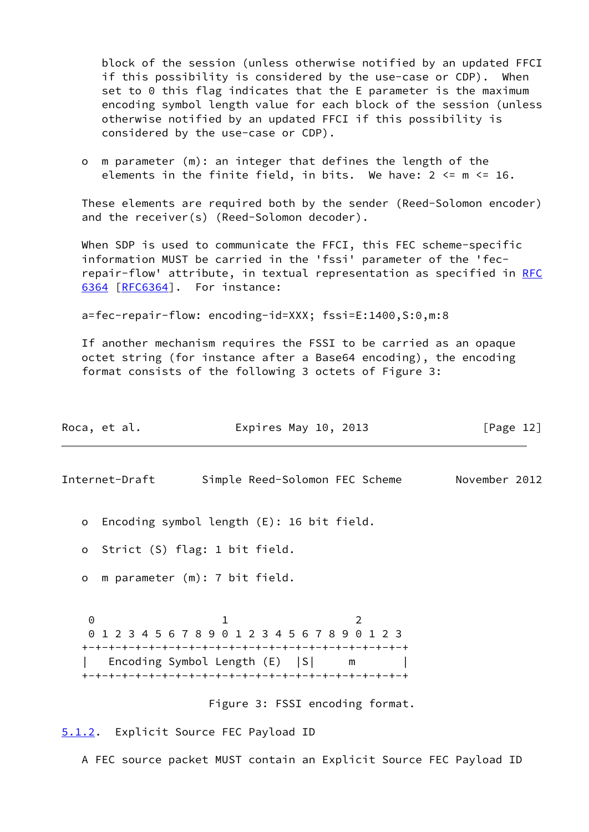block of the session (unless otherwise notified by an updated FFCI if this possibility is considered by the use-case or CDP). When set to 0 this flag indicates that the E parameter is the maximum encoding symbol length value for each block of the session (unless otherwise notified by an updated FFCI if this possibility is considered by the use-case or CDP).

 o m parameter (m): an integer that defines the length of the elements in the finite field, in bits. We have:  $2 \le m \le 16$ .

 These elements are required both by the sender (Reed-Solomon encoder) and the receiver(s) (Reed-Solomon decoder).

When SDP is used to communicate the FFCI, this FEC scheme-specific information MUST be carried in the 'fssi' parameter of the 'fec repair-flow' attribute, in textual representation as specified in [RFC](https://datatracker.ietf.org/doc/pdf/rfc6364) [6364](https://datatracker.ietf.org/doc/pdf/rfc6364) [\[RFC6364](https://datatracker.ietf.org/doc/pdf/rfc6364)]. For instance:

a=fec-repair-flow: encoding-id=XXX; fssi=E:1400,S:0,m:8

 If another mechanism requires the FSSI to be carried as an opaque octet string (for instance after a Base64 encoding), the encoding format consists of the following 3 octets of Figure 3:

<span id="page-13-1"></span>

|          | Roca, et al.   | Expires May 10, 2013                                                        |               | [Page 12] |
|----------|----------------|-----------------------------------------------------------------------------|---------------|-----------|
|          | Internet-Draft | Simple Reed-Solomon FEC Scheme                                              | November 2012 |           |
| $\circ$  |                | Encoding symbol length $(E)$ : 16 bit field.                                |               |           |
| o        |                | Strict (S) flag: 1 bit field.                                               |               |           |
| $\circ$  |                | m parameter (m): 7 bit field.                                               |               |           |
| $\Theta$ |                | 012345678901234567890123<br>Encoding Symbol Length (E)   S <br>$\mathsf{m}$ |               |           |
|          |                | Figure 3: FSSI encoding format.                                             |               |           |
|          |                | 5.1.2. Explicit Source FEC Payload ID                                       |               |           |

<span id="page-13-0"></span>A FEC source packet MUST contain an Explicit Source FEC Payload ID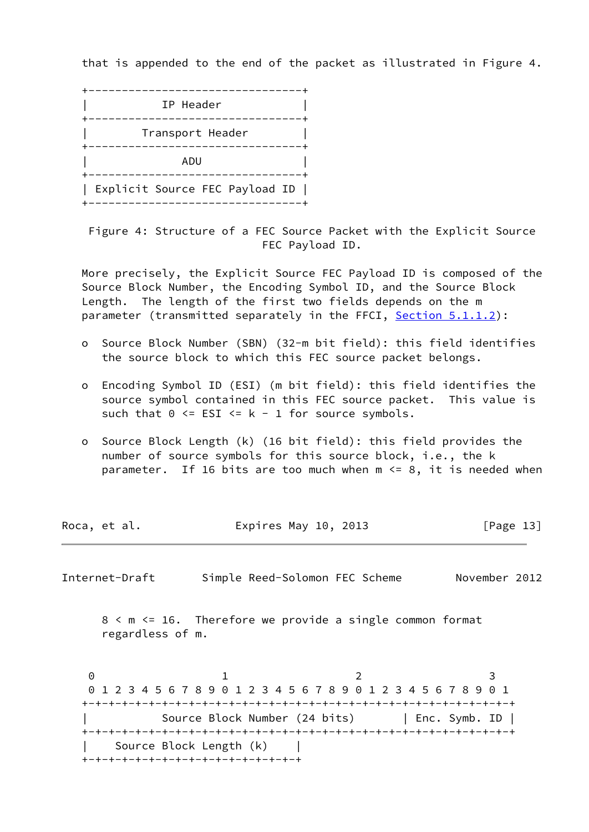that is appended to the end of the packet as illustrated in Figure 4.



 Figure 4: Structure of a FEC Source Packet with the Explicit Source FEC Payload ID.

 More precisely, the Explicit Source FEC Payload ID is composed of the Source Block Number, the Encoding Symbol ID, and the Source Block Length. The length of the first two fields depends on the m parameter (transmitted separately in the FFCI, [Section 5.1.1.2](#page-12-3)):

- o Source Block Number (SBN) (32-m bit field): this field identifies the source block to which this FEC source packet belongs.
- o Encoding Symbol ID (ESI) (m bit field): this field identifies the source symbol contained in this FEC source packet. This value is such that  $0 \leq ESI \leq k - 1$  for source symbols.
- o Source Block Length (k) (16 bit field): this field provides the number of source symbols for this source block, i.e., the k parameter. If 16 bits are too much when  $m \le 8$ , it is needed when

| Roca, et al. | Expires May 10, 2013 | [Page 13] |
|--------------|----------------------|-----------|
|--------------|----------------------|-----------|

<span id="page-14-0"></span>Internet-Draft Simple Reed-Solomon FEC Scheme November 2012

 8 < m <= 16. Therefore we provide a single common format regardless of m.

0 1 2 3 0 1 2 3 4 5 6 7 8 9 0 1 2 3 4 5 6 7 8 9 0 1 2 3 4 5 6 7 8 9 0 1 +-+-+-+-+-+-+-+-+-+-+-+-+-+-+-+-+-+-+-+-+-+-+-+-+-+-+-+-+-+-+-+-+ | Source Block Number (24 bits) | Enc. Symb. ID | +-+-+-+-+-+-+-+-+-+-+-+-+-+-+-+-+-+-+-+-+-+-+-+-+-+-+-+-+-+-+-+-+ Source Block Length (k) +-+-+-+-+-+-+-+-+-+-+-+-+-+-+-+-+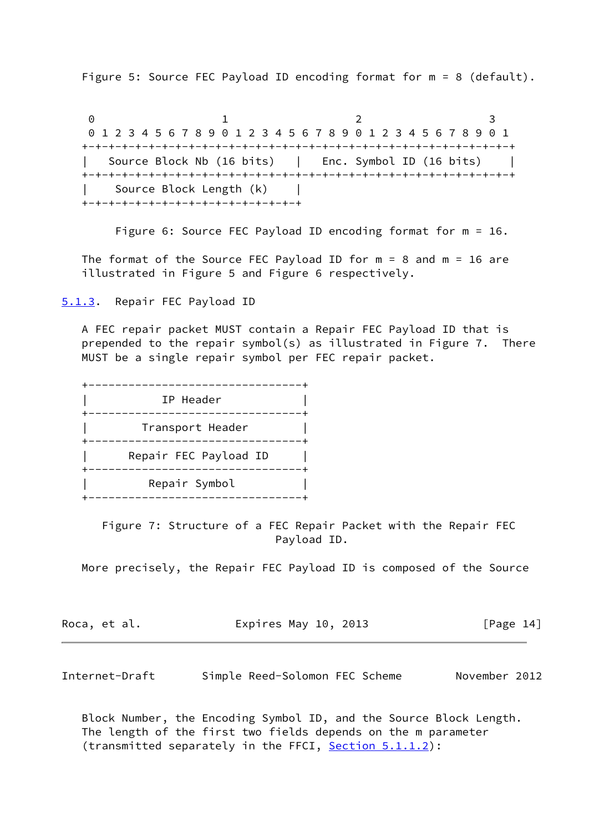Figure 5: Source FEC Payload ID encoding format for m = 8 (default).

0 1 2 3 0 1 2 3 4 5 6 7 8 9 0 1 2 3 4 5 6 7 8 9 0 1 2 3 4 5 6 7 8 9 0 1 +-+-+-+-+-+-+-+-+-+-+-+-+-+-+-+-+-+-+-+-+-+-+-+-+-+-+-+-+-+-+-+-+ Source Block Nb (16 bits) | Enc. Symbol ID (16 bits) | +-+-+-+-+-+-+-+-+-+-+-+-+-+-+-+-+-+-+-+-+-+-+-+-+-+-+-+-+-+-+-+-+ Source Block Length (k) | +-+-+-+-+-+-+-+-+-+-+-+-+-+-+-+-+

Figure 6: Source FEC Payload ID encoding format for m = 16.

The format of the Source FEC Payload ID for  $m = 8$  and  $m = 16$  are illustrated in Figure 5 and Figure 6 respectively.

<span id="page-15-0"></span>[5.1.3](#page-15-0). Repair FEC Payload ID

 A FEC repair packet MUST contain a Repair FEC Payload ID that is prepended to the repair symbol(s) as illustrated in Figure 7. There MUST be a single repair symbol per FEC repair packet.

 +--------------------------------+ | IP Header | +--------------------------------+ | Transport Header | +--------------------------------+ Repair FEC Payload ID +--------------------------------+ Repair Symbol +--------------------------------+

 Figure 7: Structure of a FEC Repair Packet with the Repair FEC Payload ID.

More precisely, the Repair FEC Payload ID is composed of the Source

| Roca, et al. | Expires May 10, 2013 | [Page 14] |
|--------------|----------------------|-----------|
|--------------|----------------------|-----------|

<span id="page-15-1"></span>Internet-Draft Simple Reed-Solomon FEC Scheme November 2012

 Block Number, the Encoding Symbol ID, and the Source Block Length. The length of the first two fields depends on the m parameter (transmitted separately in the FFCI, [Section 5.1.1.2](#page-12-3)):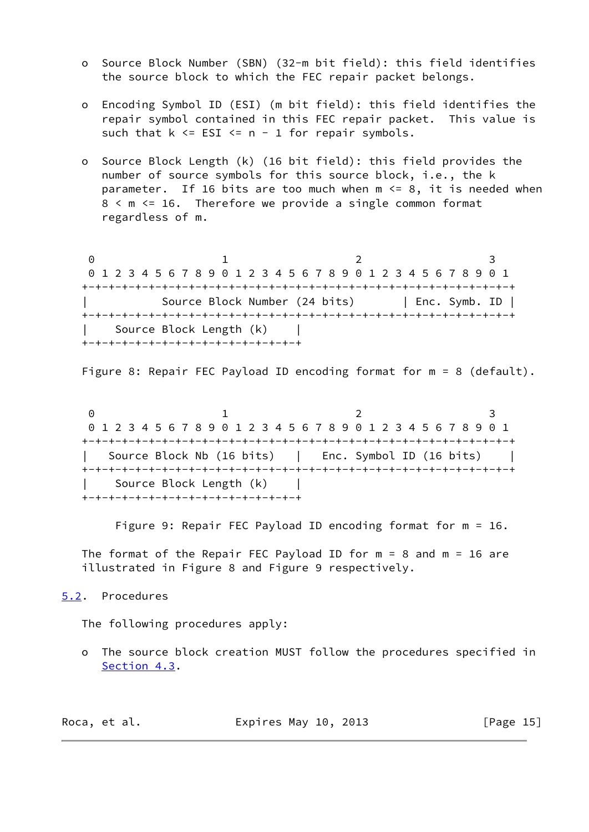- o Source Block Number (SBN) (32-m bit field): this field identifies the source block to which the FEC repair packet belongs.
- o Encoding Symbol ID (ESI) (m bit field): this field identifies the repair symbol contained in this FEC repair packet. This value is such that  $k \leq$  ESI  $\leq$  n - 1 for repair symbols.
- o Source Block Length (k) (16 bit field): this field provides the number of source symbols for this source block, i.e., the k parameter. If 16 bits are too much when  $m \le 8$ , it is needed when 8 < m <= 16. Therefore we provide a single common format regardless of m.

0 1 2 3 0 1 2 3 4 5 6 7 8 9 0 1 2 3 4 5 6 7 8 9 0 1 2 3 4 5 6 7 8 9 0 1 +-+-+-+-+-+-+-+-+-+-+-+-+-+-+-+-+-+-+-+-+-+-+-+-+-+-+-+-+-+-+-+-+ | Source Block Number (24 bits) | Enc. Symb. ID | +-+-+-+-+-+-+-+-+-+-+-+-+-+-+-+-+-+-+-+-+-+-+-+-+-+-+-+-+-+-+-+-+ | Source Block Length (k) | +-+-+-+-+-+-+-+-+-+-+-+-+-+-+-+-+

Figure 8: Repair FEC Payload ID encoding format for m = 8 (default).

0 1 2 3 0 1 2 3 4 5 6 7 8 9 0 1 2 3 4 5 6 7 8 9 0 1 2 3 4 5 6 7 8 9 0 1 +-+-+-+-+-+-+-+-+-+-+-+-+-+-+-+-+-+-+-+-+-+-+-+-+-+-+-+-+-+-+-+-+ | Source Block Nb (16 bits) | Enc. Symbol ID (16 bits) | +-+-+-+-+-+-+-+-+-+-+-+-+-+-+-+-+-+-+-+-+-+-+-+-+-+-+-+-+-+-+-+-+ Source Block Length (k) +-+-+-+-+-+-+-+-+-+-+-+-+-+-+-+-+

Figure 9: Repair FEC Payload ID encoding format for m = 16.

The format of the Repair FEC Payload ID for  $m = 8$  and  $m = 16$  are illustrated in Figure 8 and Figure 9 respectively.

# <span id="page-16-0"></span>[5.2](#page-16-0). Procedures

The following procedures apply:

 o The source block creation MUST follow the procedures specified in [Section 4.3](#page-9-0).

| Roca, et al. | Expires May 10, 2013 | [Page 15] |
|--------------|----------------------|-----------|
|--------------|----------------------|-----------|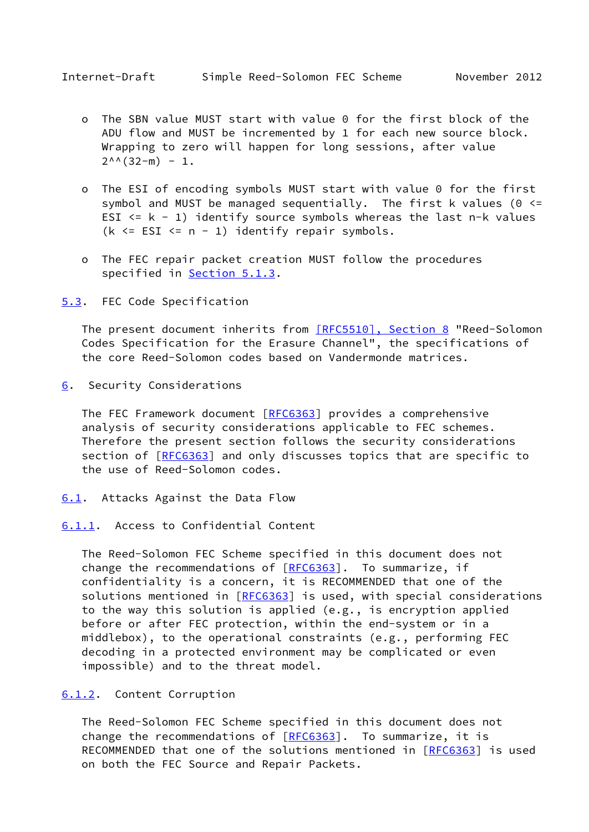- <span id="page-17-1"></span> o The SBN value MUST start with value 0 for the first block of the ADU flow and MUST be incremented by 1 for each new source block. Wrapping to zero will happen for long sessions, after value  $2^{\wedge \wedge}$  (32-m) - 1.
- o The ESI of encoding symbols MUST start with value 0 for the first symbol and MUST be managed sequentially. The first k values (0  $\le$ = ESI  $\leq k - 1$ ) identify source symbols whereas the last n-k values ( $k \leq$  ESI  $\leq$  n - 1) identify repair symbols.
- o The FEC repair packet creation MUST follow the procedures specified in [Section 5.1.3](#page-15-0).

<span id="page-17-0"></span>[5.3](#page-17-0). FEC Code Specification

The present document inherits from [\[RFC5510\], Section](https://datatracker.ietf.org/doc/pdf/rfc5510#section-8) 8 "Reed-Solomon Codes Specification for the Erasure Channel", the specifications of the core Reed-Solomon codes based on Vandermonde matrices.

<span id="page-17-2"></span>[6](#page-17-2). Security Considerations

The FEC Framework document [[RFC6363\]](https://datatracker.ietf.org/doc/pdf/rfc6363) provides a comprehensive analysis of security considerations applicable to FEC schemes. Therefore the present section follows the security considerations section of [[RFC6363\]](https://datatracker.ietf.org/doc/pdf/rfc6363) and only discusses topics that are specific to the use of Reed-Solomon codes.

- <span id="page-17-3"></span>[6.1](#page-17-3). Attacks Against the Data Flow
- <span id="page-17-4"></span>[6.1.1](#page-17-4). Access to Confidential Content

 The Reed-Solomon FEC Scheme specified in this document does not change the recommendations of [[RFC6363](https://datatracker.ietf.org/doc/pdf/rfc6363)]. To summarize, if confidentiality is a concern, it is RECOMMENDED that one of the solutions mentioned in [\[RFC6363](https://datatracker.ietf.org/doc/pdf/rfc6363)] is used, with special considerations to the way this solution is applied (e.g., is encryption applied before or after FEC protection, within the end-system or in a middlebox), to the operational constraints (e.g., performing FEC decoding in a protected environment may be complicated or even impossible) and to the threat model.

#### <span id="page-17-5"></span>[6.1.2](#page-17-5). Content Corruption

 The Reed-Solomon FEC Scheme specified in this document does not change the recommendations of  $[REC6363]$ . To summarize, it is RECOMMENDED that one of the solutions mentioned in [[RFC6363\]](https://datatracker.ietf.org/doc/pdf/rfc6363) is used on both the FEC Source and Repair Packets.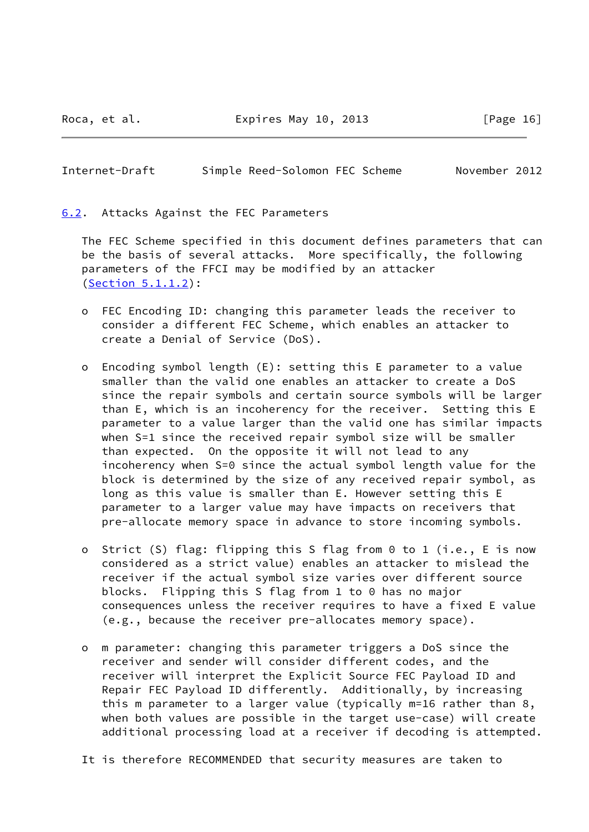Roca, et al. **Expires May 10, 2013** [Page 16]

# <span id="page-18-1"></span>Internet-Draft Simple Reed-Solomon FEC Scheme November 2012

<span id="page-18-0"></span>[6.2](#page-18-0). Attacks Against the FEC Parameters

 The FEC Scheme specified in this document defines parameters that can be the basis of several attacks. More specifically, the following parameters of the FFCI may be modified by an attacker [\(Section 5.1.1.2](#page-12-3)):

- o FEC Encoding ID: changing this parameter leads the receiver to consider a different FEC Scheme, which enables an attacker to create a Denial of Service (DoS).
- o Encoding symbol length (E): setting this E parameter to a value smaller than the valid one enables an attacker to create a DoS since the repair symbols and certain source symbols will be larger than E, which is an incoherency for the receiver. Setting this E parameter to a value larger than the valid one has similar impacts when S=1 since the received repair symbol size will be smaller than expected. On the opposite it will not lead to any incoherency when S=0 since the actual symbol length value for the block is determined by the size of any received repair symbol, as long as this value is smaller than E. However setting this E parameter to a larger value may have impacts on receivers that pre-allocate memory space in advance to store incoming symbols.
- o Strict (S) flag: flipping this S flag from 0 to 1 (i.e., E is now considered as a strict value) enables an attacker to mislead the receiver if the actual symbol size varies over different source blocks. Flipping this S flag from 1 to 0 has no major consequences unless the receiver requires to have a fixed E value (e.g., because the receiver pre-allocates memory space).
- o m parameter: changing this parameter triggers a DoS since the receiver and sender will consider different codes, and the receiver will interpret the Explicit Source FEC Payload ID and Repair FEC Payload ID differently. Additionally, by increasing this m parameter to a larger value (typically m=16 rather than 8, when both values are possible in the target use-case) will create additional processing load at a receiver if decoding is attempted.
- It is therefore RECOMMENDED that security measures are taken to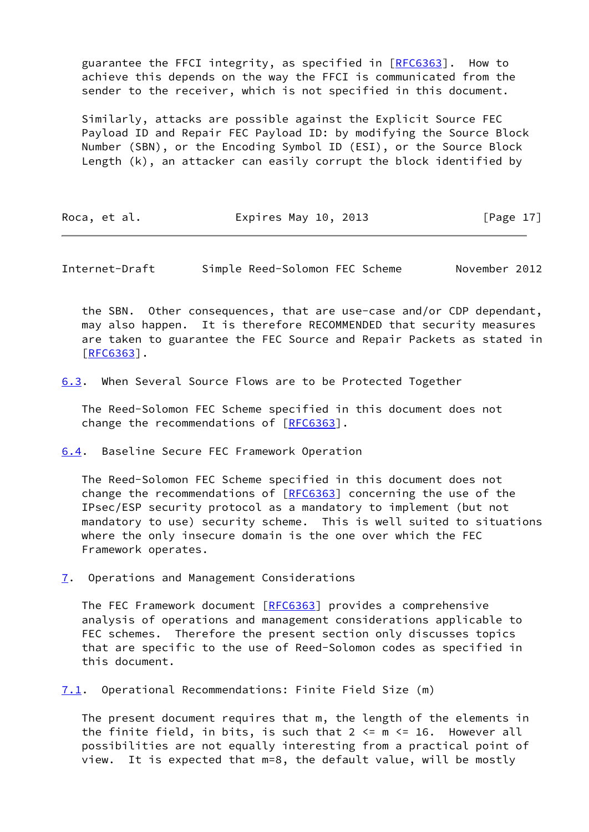guarantee the FFCI integrity, as specified in [[RFC6363](https://datatracker.ietf.org/doc/pdf/rfc6363)]. How to achieve this depends on the way the FFCI is communicated from the sender to the receiver, which is not specified in this document.

 Similarly, attacks are possible against the Explicit Source FEC Payload ID and Repair FEC Payload ID: by modifying the Source Block Number (SBN), or the Encoding Symbol ID (ESI), or the Source Block Length (k), an attacker can easily corrupt the block identified by

Roca, et al. **Expires May 10, 2013** [Page 17]

<span id="page-19-1"></span>Internet-Draft Simple Reed-Solomon FEC Scheme November 2012

 the SBN. Other consequences, that are use-case and/or CDP dependant, may also happen. It is therefore RECOMMENDED that security measures are taken to guarantee the FEC Source and Repair Packets as stated in [\[RFC6363](https://datatracker.ietf.org/doc/pdf/rfc6363)].

<span id="page-19-0"></span>[6.3](#page-19-0). When Several Source Flows are to be Protected Together

 The Reed-Solomon FEC Scheme specified in this document does not change the recommendations of [[RFC6363](https://datatracker.ietf.org/doc/pdf/rfc6363)].

<span id="page-19-2"></span>[6.4](#page-19-2). Baseline Secure FEC Framework Operation

 The Reed-Solomon FEC Scheme specified in this document does not change the recommendations of [[RFC6363](https://datatracker.ietf.org/doc/pdf/rfc6363)] concerning the use of the IPsec/ESP security protocol as a mandatory to implement (but not mandatory to use) security scheme. This is well suited to situations where the only insecure domain is the one over which the FEC Framework operates.

<span id="page-19-3"></span>[7](#page-19-3). Operations and Management Considerations

The FEC Framework document [[RFC6363\]](https://datatracker.ietf.org/doc/pdf/rfc6363) provides a comprehensive analysis of operations and management considerations applicable to FEC schemes. Therefore the present section only discusses topics that are specific to the use of Reed-Solomon codes as specified in this document.

<span id="page-19-4"></span>[7.1](#page-19-4). Operational Recommendations: Finite Field Size (m)

 The present document requires that m, the length of the elements in the finite field, in bits, is such that  $2 \le m \le 16$ . However all possibilities are not equally interesting from a practical point of view. It is expected that m=8, the default value, will be mostly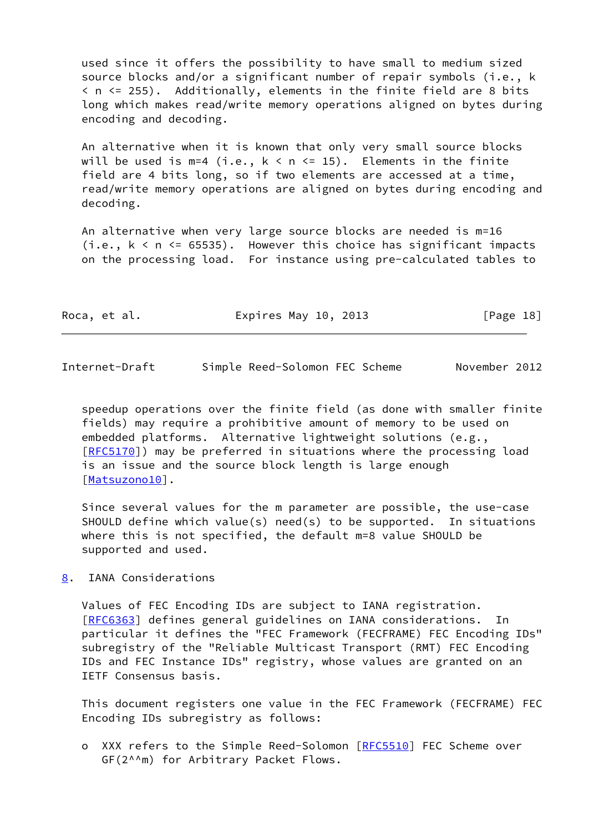used since it offers the possibility to have small to medium sized source blocks and/or a significant number of repair symbols (i.e., k < n <= 255). Additionally, elements in the finite field are 8 bits long which makes read/write memory operations aligned on bytes during encoding and decoding.

 An alternative when it is known that only very small source blocks will be used is  $m=4$  (i.e.,  $k < n \le 15$ ). Elements in the finite field are 4 bits long, so if two elements are accessed at a time, read/write memory operations are aligned on bytes during encoding and decoding.

 An alternative when very large source blocks are needed is m=16  $(i.e., k < n \leq 65535)$ . However this choice has significant impacts on the processing load. For instance using pre-calculated tables to

| Roca, et al. | Expires May 10, 2013 | [Page 18] |
|--------------|----------------------|-----------|
|--------------|----------------------|-----------|

<span id="page-20-1"></span>Internet-Draft Simple Reed-Solomon FEC Scheme November 2012

 speedup operations over the finite field (as done with smaller finite fields) may require a prohibitive amount of memory to be used on embedded platforms. Alternative lightweight solutions (e.g., [\[RFC5170](https://datatracker.ietf.org/doc/pdf/rfc5170)]) may be preferred in situations where the processing load is an issue and the source block length is large enough [\[Matsuzono10](#page-21-7)].

 Since several values for the m parameter are possible, the use-case SHOULD define which value(s) need(s) to be supported. In situations where this is not specified, the default m=8 value SHOULD be supported and used.

<span id="page-20-0"></span>[8](#page-20-0). IANA Considerations

 Values of FEC Encoding IDs are subject to IANA registration. [\[RFC6363](https://datatracker.ietf.org/doc/pdf/rfc6363)] defines general guidelines on IANA considerations. In particular it defines the "FEC Framework (FECFRAME) FEC Encoding IDs" subregistry of the "Reliable Multicast Transport (RMT) FEC Encoding IDs and FEC Instance IDs" registry, whose values are granted on an IETF Consensus basis.

 This document registers one value in the FEC Framework (FECFRAME) FEC Encoding IDs subregistry as follows:

 o XXX refers to the Simple Reed-Solomon [\[RFC5510](https://datatracker.ietf.org/doc/pdf/rfc5510)] FEC Scheme over GF(2^^m) for Arbitrary Packet Flows.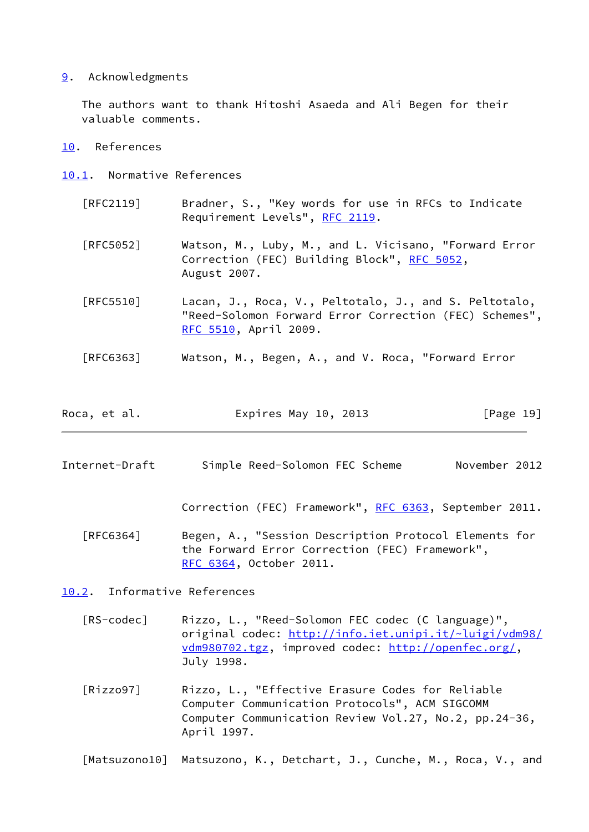# <span id="page-21-0"></span>[9](#page-21-0). Acknowledgments

 The authors want to thank Hitoshi Asaeda and Ali Begen for their valuable comments.

# <span id="page-21-1"></span>[10.](#page-21-1) References

- <span id="page-21-2"></span>[10.1](#page-21-2). Normative References
	- [RFC2119] Bradner, S., "Key words for use in RFCs to Indicate Requirement Levels", [RFC 2119.](https://datatracker.ietf.org/doc/pdf/rfc2119)
	- [RFC5052] Watson, M., Luby, M., and L. Vicisano, "Forward Error Correction (FEC) Building Block", [RFC 5052](https://datatracker.ietf.org/doc/pdf/rfc5052), August 2007.
	- [RFC5510] Lacan, J., Roca, V., Peltotalo, J., and S. Peltotalo, "Reed-Solomon Forward Error Correction (FEC) Schemes", [RFC 5510,](https://datatracker.ietf.org/doc/pdf/rfc5510) April 2009.
	- [RFC6363] Watson, M., Begen, A., and V. Roca, "Forward Error
- Roca, et al. **Expires May 10, 2013** [Page 19]
- <span id="page-21-4"></span>Internet-Draft Simple Reed-Solomon FEC Scheme November 2012

Correction (FEC) Framework", [RFC 6363,](https://datatracker.ietf.org/doc/pdf/rfc6363) September 2011.

- [RFC6364] Begen, A., "Session Description Protocol Elements for the Forward Error Correction (FEC) Framework", [RFC 6364,](https://datatracker.ietf.org/doc/pdf/rfc6364) October 2011.
- <span id="page-21-5"></span><span id="page-21-3"></span>[10.2](#page-21-3). Informative References
	- [RS-codec] Rizzo, L., "Reed-Solomon FEC codec (C language)", original codec: [http://info.iet.unipi.it/~luigi/vdm98/](http://info.iet.unipi.it/~luigi/vdm98/vdm980702.tgz) [vdm980702.tgz,](http://info.iet.unipi.it/~luigi/vdm98/vdm980702.tgz) improved codec:<http://openfec.org/>, July 1998.
	- [Rizzo97] Rizzo, L., "Effective Erasure Codes for Reliable Computer Communication Protocols", ACM SIGCOMM Computer Communication Review Vol.27, No.2, pp.24-36, April 1997.

<span id="page-21-7"></span><span id="page-21-6"></span>[Matsuzono10] Matsuzono, K., Detchart, J., Cunche, M., Roca, V., and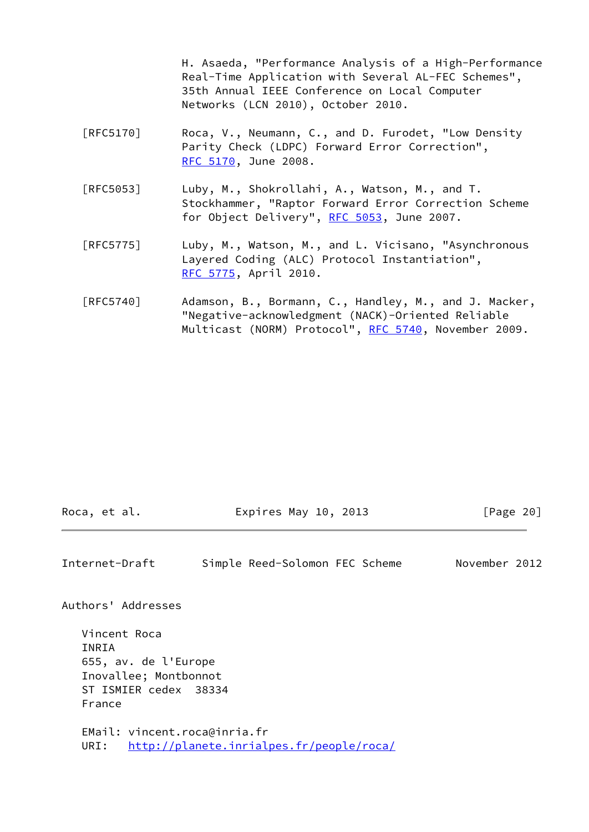H. Asaeda, "Performance Analysis of a High-Performance Real-Time Application with Several AL-FEC Schemes", 35th Annual IEEE Conference on Local Computer Networks (LCN 2010), October 2010.

- [RFC5170] Roca, V., Neumann, C., and D. Furodet, "Low Density Parity Check (LDPC) Forward Error Correction", [RFC 5170,](https://datatracker.ietf.org/doc/pdf/rfc5170) June 2008.
- [RFC5053] Luby, M., Shokrollahi, A., Watson, M., and T. Stockhammer, "Raptor Forward Error Correction Scheme for Object Delivery", [RFC 5053](https://datatracker.ietf.org/doc/pdf/rfc5053), June 2007.
- [RFC5775] Luby, M., Watson, M., and L. Vicisano, "Asynchronous Layered Coding (ALC) Protocol Instantiation", [RFC 5775,](https://datatracker.ietf.org/doc/pdf/rfc5775) April 2010.
- [RFC5740] Adamson, B., Bormann, C., Handley, M., and J. Macker, "Negative-acknowledgment (NACK)-Oriented Reliable Multicast (NORM) Protocol", [RFC 5740,](https://datatracker.ietf.org/doc/pdf/rfc5740) November 2009.

| Expires May 10, 2013<br>Roca, et al. | [Page 20] |
|--------------------------------------|-----------|
|--------------------------------------|-----------|

Internet-Draft Simple Reed-Solomon FEC Scheme November 2012

Authors' Addresses

 Vincent Roca INRIA 655, av. de l'Europe Inovallee; Montbonnot ST ISMIER cedex 38334 France

 EMail: vincent.roca@inria.fr URI: <http://planete.inrialpes.fr/people/roca/>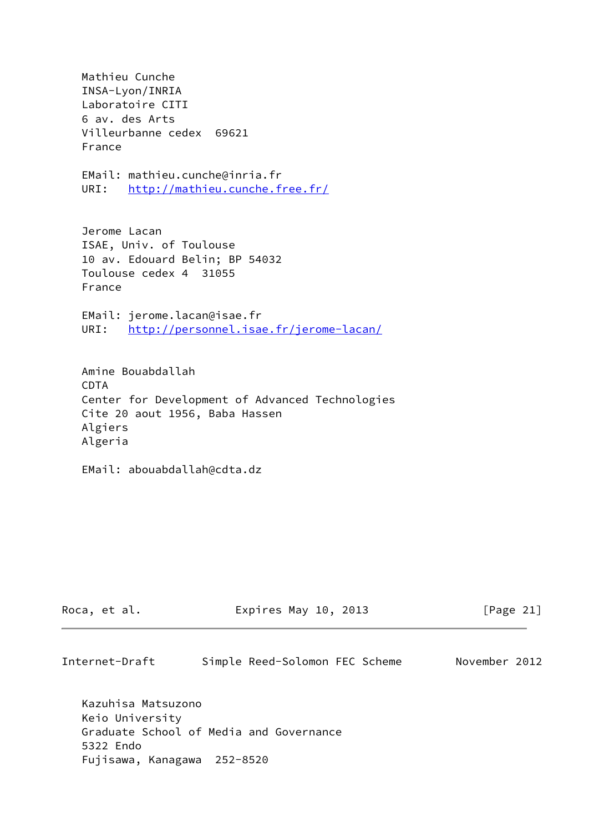Mathieu Cunche INSA-Lyon/INRIA Laboratoire CITI 6 av. des Arts Villeurbanne cedex 69621 France EMail: mathieu.cunche@inria.fr URI: <http://mathieu.cunche.free.fr/> Jerome Lacan ISAE, Univ. of Toulouse 10 av. Edouard Belin; BP 54032 Toulouse cedex 4 31055 France EMail: jerome.lacan@isae.fr URI: <http://personnel.isae.fr/jerome-lacan/> Amine Bouabdallah CDTA Center for Development of Advanced Technologies Cite 20 aout 1956, Baba Hassen Algiers Algeria

EMail: abouabdallah@cdta.dz

| Roca, et al. | Expires May 10, 2013 | [Page 21] |
|--------------|----------------------|-----------|
|--------------|----------------------|-----------|

Internet-Draft Simple Reed-Solomon FEC Scheme November 2012

 Kazuhisa Matsuzono Keio University Graduate School of Media and Governance 5322 Endo Fujisawa, Kanagawa 252-8520